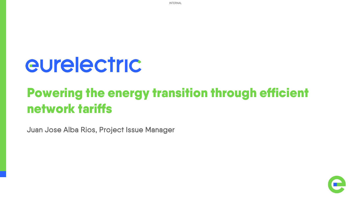eurelectric

# Powering the energy transition through efficient network tariffs

Juan Jose Alba Rios, Project Issue Manager



INTERNAL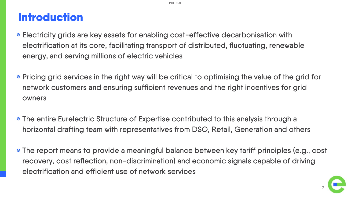### **Introduction**

- Electricity grids are key assets for enabling cost-effective decarbonisation with electrification at its core, facilitating transport of distributed, fluctuating, renewable energy, and serving millions of electric vehicles
- Pricing grid services in the right way will be critical to optimising the value of the grid for network customers and ensuring sufficient revenues and the right incentives for grid owners
- The entire Eurelectric Structure of Expertise contributed to this analysis through a horizontal drafting team with representatives from DSO, Retail, Generation and others
- The report means to provide a meaningful balance between key tariff principles (e.g., cost recovery, cost reflection, non-discrimination) and economic signals capable of driving electrification and efficient use of network services

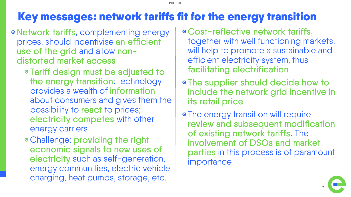## Key messages: network tariffs fit for the energy transition

- e Network tariffs, complementing energy prices, should incentivise an efficient use of the grid and allow nondistorted market access
	- Tariff design must be adjusted to the energy transition: technology provides a wealth of information about consumers and gives them the possibility to react to prices; electricity competes with other energy carriers
	- Challenge: providing the right economic signals to new uses of electricity such as self-generation, energy communities, electric vehicle charging, heat pumps, storage, etc.
- Cost-reflective network tariffs, together with well functioning markets, will help to promote a sustainable and efficient electricity system, thus facilitating electrification
- The supplier should decide how to include the network grid incentive in its retail price
- The energy transition will require review and subsequent modification of existing network tariffs. The involvement of DSOs and market parties in this process is of paramount importance

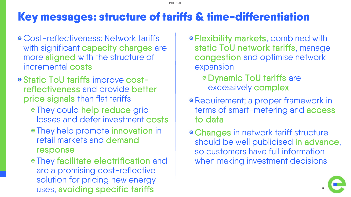### Key messages: structure of tariffs & time-differentiation

- Cost-reflectiveness: Network tariffs with significant capacity charges are more aligned with the structure of incremental costs
- e Static ToU tariffs improve costreflectiveness and provide better price signals than flat tariffs
	- They could help reduce grid losses and defer investment costs
	- They help promote innovation in retail markets and demand response
	- They facilitate electrification and are a promising cost-reflective solution for pricing new energy uses, avoiding specific tariffs
- Flexibility markets, combined with static ToU network tariffs, manage congestion and optimise network expansion
	- Dynamic ToU tariffs are excessively complex
- e Requirement; a proper framework in terms of smart-metering and access to data
- Changes in network tariff structure should be well publicised in advance, so customers have full information when making investment decisions

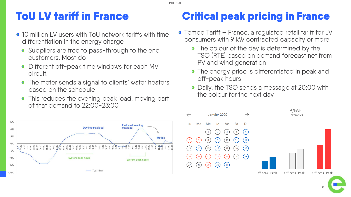### ToU LV tariff in France

- 10 million LV users with ToU network tariffs with time differentiation in the energy charge
	- Suppliers are free to pass-through to the end  $\mathbf e$ customers. Most do
	- Different off-peak time windows for each MV  $\mathbf e$ circuit.
	- $\mathbf e$ The meter sends a signal to clients' water heaters based on the schedule
	- This reduces the evening peak load, moving part  $\mathbf e$ of that demand to 22:00-23:00



### Critical peak pricing in France

- Tempo Tariff France, a regulated retail tariff for LV consumers with 9 kW contracted capacity or more
	- **e** The colour of the day is determined by the TSO (RTE) based on demand forecast net from PV and wind generation
	- The energy price is differentiated in peak and off-peak hours
	- Daily, the TSO sends a message at 20:00 with the colour for the next day

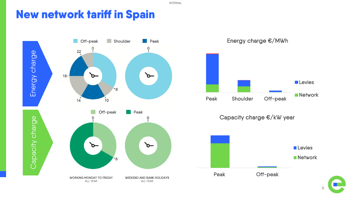### New network tariff in Spain

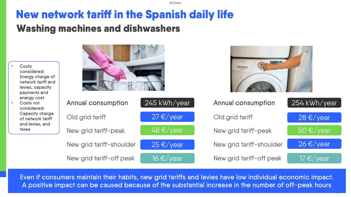### New network tariff in the Spanish daily life Washing machines and dishwashers

| Costs<br>considered:<br>Energy charge of<br>network tariff and<br>levies, capacity<br>payments and |                           |                      |                           |                            |
|----------------------------------------------------------------------------------------------------|---------------------------|----------------------|---------------------------|----------------------------|
| energy cost<br>Costs not<br>considered:                                                            | <b>Annual consumption</b> | 245 kWh/year         | <b>Annual consumption</b> | 254 kWh/year               |
| Capacity charge<br>of network tariff                                                               | Old grid tariff           | 27 $\epsilon$ /year  | Old grid tariff           | 28 $\epsilon$ /year        |
| and levies, and<br>taxes                                                                           | New grid tariff-peak      | 48 $\epsilon$ /year  | New grid tariff-peak      | 50 $\epsilon$ /year        |
|                                                                                                    | New grid tariff-shoulder  | $25 \in \sqrt{year}$ | New grid tariff-shoulder  | $26 \cdot \sqrt{\sqrt{2}}$ |
|                                                                                                    | New grid tariff-off peak  | 16 $\epsilon$ /year  | New grid tariff-off peak  | 17 $\epsilon$ /year        |

Even if consumers maintain their habits, new grid tariffs and levies have low individual economic impact. A positive impact can be caused because of the substantial increase in the number of off-peak hours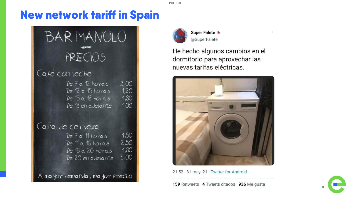### New network tariff in Spain

# BAR MANOLO PRECIOS

#### Café con leche

De 7 a 12 horas 2,00  $1,20$ De 12 a 15 horas 1,80 De 15 a 18 horas 1,00 De 18 en adelante

Caña de cerveza

1,50 De 7 a 11 horas 2,50 De 11 a 16 horas 1,80 De 16 a 20 horas  $3,00$ De 20 en adelante

A mayor demanda, mayor precio



Super Falete & @SuperFalete

He hecho algunos cambios en el dormitorio para aprovechar las nuevas tarifas eléctricas.



21:52 · 31 may. 21 · Twitter for Android

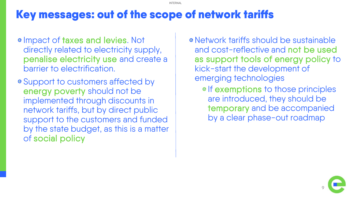### Key messages: out of the scope of network tariffs

- e Impact of taxes and levies. Not directly related to electricity supply, penalise electricity use and create a barrier to electrification.
- Support to customers affected by energy poverty should not be implemented through discounts in network tariffs, but by direct public support to the customers and funded by the state budget, as this is a matter of social policy
- Network tariffs should be sustainable and cost-reflective and not be used as support tools of energy policy to kick-start the development of emerging technologies
	- e If exemptions to those principles are introduced, they should be temporary and be accompanied by a clear phase-out roadmap

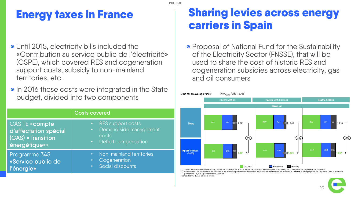## Energy taxes in France

- Until 2015, electricity bills included the «Contribution au service public de l'électricité» (CSPE), which covered RES and cogeneration support costs, subsidy to non-mainland territories, etc.
- **e** In 2016 these costs were integrated in the State budget, divided into two components

|                                                                                     | <b>Costs covered</b>                                                                          |  |
|-------------------------------------------------------------------------------------|-----------------------------------------------------------------------------------------------|--|
| <b>CASTE</b> «compte<br>d'affectation spécial<br>(CAS) «Transition<br>énergétique»» | RES support costs<br>Demand side management<br>$\bullet$ .<br>costs<br>• Deficit compensation |  |
| Programme 345<br>«Service public de<br>l'énergie»                                   | Non-mainland territories<br>Cogeneration<br>Social discounts                                  |  |

### Sharing levies across energy carriers in Spain

**e** Proposal of National Fund for the Sustainability of the Electricity Sector (FNSSE), that will be used to share the cost of historic RES and cogeneration subsidies across electricity, gas and oil consumers



(1) 2MWh de consumo de calefacción; 1MWh de consumo de ACS; 3,0MWh de consumo eléctrico para otros usos; 12.000km/año de co**t/100km** de consumo ;<br>Estimaciones de incremento de coste final de producto petrolífero y reducció Estimaciones de incremento de coste final de producto petrolífero y reducción de precio de electricidad de petrolífero +6,2 c€/l; electricidad17 €/MWh .<br>The: CNMC: IDAE; análisis propio

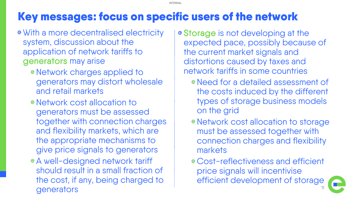### Key messages: focus on specific users of the network

- With a more decentralised electricity system, discussion about the application of network tariffs to generators may arise
	- e Network charges applied to generators may distort wholesale and retail markets
	- Network cost allocation to generators must be assessed together with connection charges and flexibility markets, which are the appropriate mechanisms to give price signals to generators
	- A well-designed network tariff should result in a small fraction of the cost, if any, being charged to generators
- Storage is not developing at the expected pace, possibly because of the current market signals and distortions caused by taxes and network tariffs in some countries
	- Need for a detailed assessment of the costs induced by the different types of storage business models on the grid
	- Network cost allocation to storage must be assessed together with connection charges and flexibility markets
	- Cost-reflectiveness and efficient price signals will incentivise efficient development of storage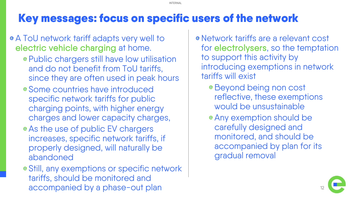# Key messages: focus on specific users of the network

- A ToU network tariff adapts very well to electric vehicle charging at home.
	- e Public chargers still have low utilisation and do not benefit from ToU tariffs, since they are often used in peak hours
	- Some countries have introduced specific network tariffs for public charging points, with higher energy charges and lower capacity charges,
	- As the use of public EV chargers increases, specific network tariffs, if properly designed, will naturally be abandoned
	- Still, any exemptions or specific network tariffs, should be monitored and accompanied by a phase-out plan
- Network tariffs are a relevant cost for electrolysers, so the temptation to support this activity by introducing exemptions in network tariffs will exist
	- Beyond being non cost reflective, these exemptions would be unsustainable
	- Any exemption should be carefully designed and monitored, and should be accompanied by plan for its gradual removal

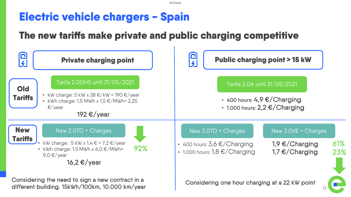### Electric vehicle chargers - Spain

### The new tariffs make private and public charging competitive